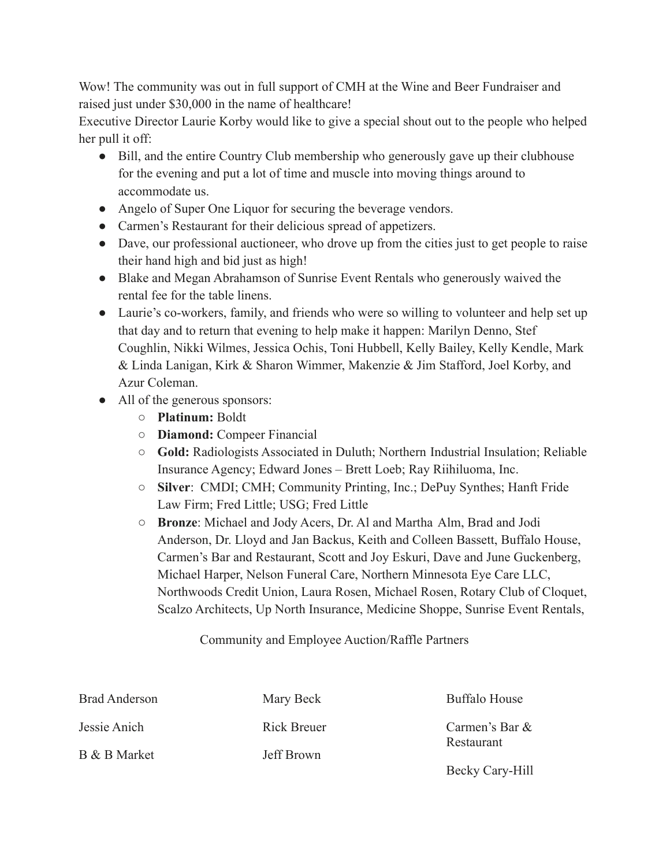Wow! The community was out in full support of CMH at the Wine and Beer Fundraiser and raised just under \$30,000 in the name of healthcare!

Executive Director Laurie Korby would like to give a special shout out to the people who helped her pull it off:

- Bill, and the entire Country Club membership who generously gave up their clubhouse for the evening and put a lot of time and muscle into moving things around to accommodate us.
- Angelo of Super One Liquor for securing the beverage vendors.
- Carmen's Restaurant for their delicious spread of appetizers.
- Dave, our professional auctioneer, who drove up from the cities just to get people to raise their hand high and bid just as high!
- Blake and Megan Abrahamson of Sunrise Event Rentals who generously waived the rental fee for the table linens.
- Laurie's co-workers, family, and friends who were so willing to volunteer and help set up that day and to return that evening to help make it happen: Marilyn Denno, Stef Coughlin, Nikki Wilmes, Jessica Ochis, Toni Hubbell, Kelly Bailey, Kelly Kendle, Mark & Linda Lanigan, Kirk & Sharon Wimmer, Makenzie & Jim Stafford, Joel Korby, and Azur Coleman.
- All of the generous sponsors:
	- **Platinum:** Boldt
	- **Diamond:** Compeer Financial
	- **Gold:** Radiologists Associated in Duluth; Northern Industrial Insulation; Reliable Insurance Agency; Edward Jones – Brett Loeb; Ray Riihiluoma, Inc.
	- **Silver**: CMDI; CMH; Community Printing, Inc.; DePuy Synthes; Hanft Fride Law Firm; Fred Little; USG; Fred Little
	- **Bronze**: Michael and Jody Acers, Dr. Al and Martha Alm, Brad and Jodi Anderson, Dr. Lloyd and Jan Backus, Keith and Colleen Bassett, Buffalo House, Carmen's Bar and Restaurant, Scott and Joy Eskuri, Dave and June Guckenberg, Michael Harper, Nelson Funeral Care, Northern Minnesota Eye Care LLC, Northwoods Credit Union, Laura Rosen, Michael Rosen, Rotary Club of Cloquet, Scalzo Architects, Up North Insurance, Medicine Shoppe, Sunrise Event Rentals,

Community and Employee Auction/Raffle Partners

| <b>Brad Anderson</b> | Mary Beck         | <b>Buffalo House</b>           |
|----------------------|-------------------|--------------------------------|
| Jessie Anich         | Rick Breuer       | Carmen's Bar $&$<br>Restaurant |
| B & B Market         | <b>Jeff Brown</b> |                                |
|                      |                   | Becky Cary-Hill                |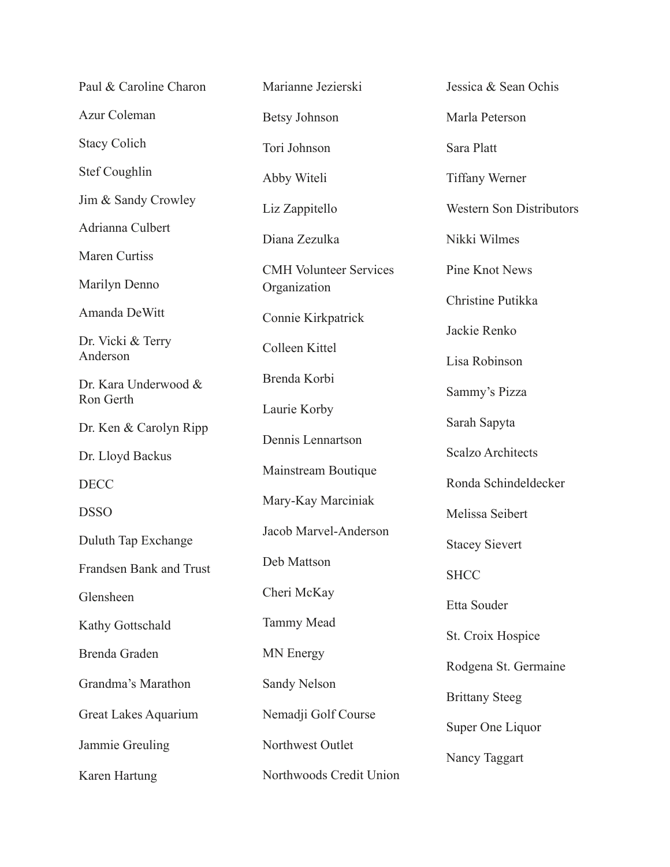| Paul & Caroline Charon        | Marianne Jezierski            | Jessica & Sean Ochis            |
|-------------------------------|-------------------------------|---------------------------------|
| Azur Coleman                  | <b>Betsy Johnson</b>          | Marla Peterson                  |
| <b>Stacy Colich</b>           | Tori Johnson                  | Sara Platt                      |
| Stef Coughlin                 | Abby Witeli                   | <b>Tiffany Werner</b>           |
| Jim & Sandy Crowley           | Liz Zappitello                | <b>Western Son Distributors</b> |
| Adrianna Culbert              | Diana Zezulka                 | Nikki Wilmes                    |
| Maren Curtiss                 | <b>CMH Volunteer Services</b> | Pine Knot News                  |
| Marilyn Denno                 | Organization                  | Christine Putikka               |
| Amanda DeWitt                 | Connie Kirkpatrick            | Jackie Renko                    |
| Dr. Vicki & Terry<br>Anderson | Colleen Kittel                |                                 |
| Dr. Kara Underwood &          | Brenda Korbi                  | Lisa Robinson                   |
| Ron Gerth                     | Laurie Korby                  | Sammy's Pizza                   |
| Dr. Ken & Carolyn Ripp        | Dennis Lennartson             | Sarah Sapyta                    |
| Dr. Lloyd Backus              | Mainstream Boutique           | <b>Scalzo Architects</b>        |
| <b>DECC</b>                   | Mary-Kay Marciniak            | Ronda Schindeldecker            |
| <b>DSSO</b>                   |                               | Melissa Seibert                 |
| Duluth Tap Exchange           | Jacob Marvel-Anderson         | <b>Stacey Sievert</b>           |
| Frandsen Bank and Trust       | Deb Mattson                   | <b>SHCC</b>                     |
| Glensheen                     | Cheri McKay                   | Etta Souder                     |
| Kathy Gottschald              | <b>Tammy Mead</b>             | St. Croix Hospice               |
| Brenda Graden                 | <b>MN</b> Energy              | Rodgena St. Germaine            |
| Grandma's Marathon            | Sandy Nelson                  | <b>Brittany Steeg</b>           |
| Great Lakes Aquarium          | Nemadji Golf Course           | Super One Liquor                |
| Jammie Greuling               | Northwest Outlet              |                                 |
| Karen Hartung                 | Northwoods Credit Union       | Nancy Taggart                   |